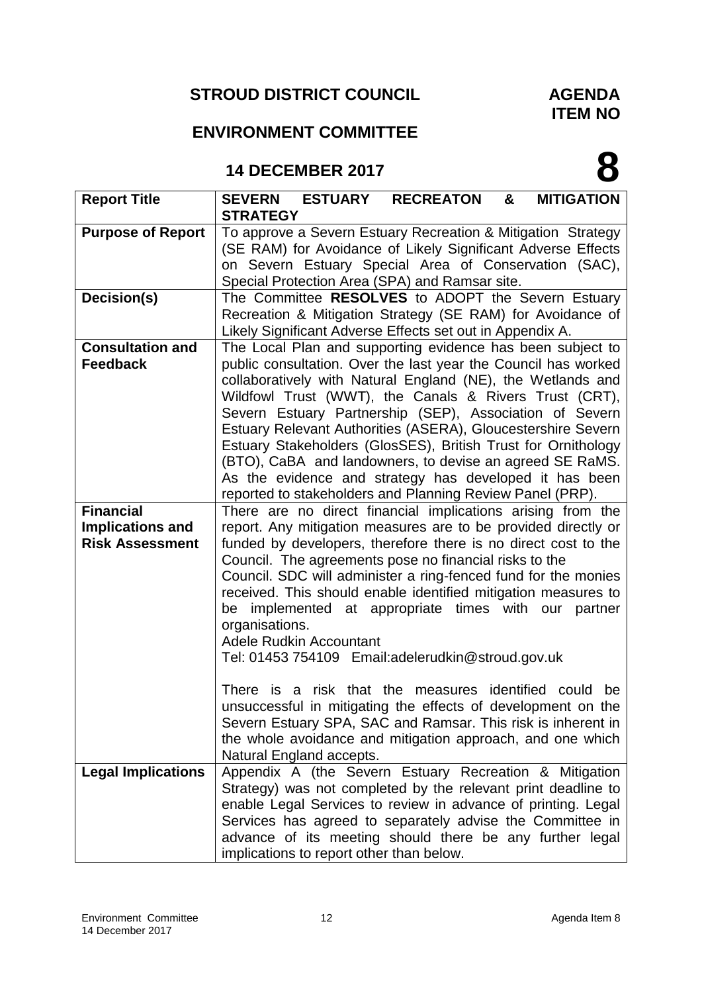# **STROUD DISTRICT COUNCIL**

### **AGENDA ITEM NO**

**8**

## **ENVIRONMENT COMMITTEE**

## **14 DECEMBER 2017**

| <b>Report Title</b>       | <b>ESTUARY</b><br><b>RECREATON</b><br><b>MITIGATION</b><br><b>SEVERN</b><br>&                                                 |
|---------------------------|-------------------------------------------------------------------------------------------------------------------------------|
|                           | <b>STRATEGY</b>                                                                                                               |
| <b>Purpose of Report</b>  | To approve a Severn Estuary Recreation & Mitigation Strategy                                                                  |
|                           | (SE RAM) for Avoidance of Likely Significant Adverse Effects<br>on Severn Estuary Special Area of Conservation (SAC),         |
|                           | Special Protection Area (SPA) and Ramsar site.                                                                                |
| Decision(s)               | The Committee RESOLVES to ADOPT the Severn Estuary                                                                            |
|                           | Recreation & Mitigation Strategy (SE RAM) for Avoidance of                                                                    |
|                           | Likely Significant Adverse Effects set out in Appendix A.                                                                     |
| <b>Consultation and</b>   | The Local Plan and supporting evidence has been subject to                                                                    |
| <b>Feedback</b>           | public consultation. Over the last year the Council has worked                                                                |
|                           | collaboratively with Natural England (NE), the Wetlands and                                                                   |
|                           | Wildfowl Trust (WWT), the Canals & Rivers Trust (CRT),                                                                        |
|                           | Severn Estuary Partnership (SEP), Association of Severn                                                                       |
|                           | Estuary Relevant Authorities (ASERA), Gloucestershire Severn<br>Estuary Stakeholders (GlosSES), British Trust for Ornithology |
|                           | (BTO), CaBA and landowners, to devise an agreed SE RaMS.                                                                      |
|                           | As the evidence and strategy has developed it has been                                                                        |
|                           | reported to stakeholders and Planning Review Panel (PRP).                                                                     |
| <b>Financial</b>          | There are no direct financial implications arising from the                                                                   |
| <b>Implications and</b>   | report. Any mitigation measures are to be provided directly or                                                                |
| <b>Risk Assessment</b>    | funded by developers, therefore there is no direct cost to the                                                                |
|                           | Council. The agreements pose no financial risks to the                                                                        |
|                           | Council. SDC will administer a ring-fenced fund for the monies                                                                |
|                           | received. This should enable identified mitigation measures to                                                                |
|                           | be implemented at appropriate times with our partner                                                                          |
|                           | organisations.                                                                                                                |
|                           | <b>Adele Rudkin Accountant</b><br>Tel: 01453 754109 Email:adelerudkin@stroud.gov.uk                                           |
|                           |                                                                                                                               |
|                           | There is a risk that the measures identified could<br>be                                                                      |
|                           | unsuccessful in mitigating the effects of development on the                                                                  |
|                           | Severn Estuary SPA, SAC and Ramsar. This risk is inherent in                                                                  |
|                           | the whole avoidance and mitigation approach, and one which                                                                    |
|                           | Natural England accepts.                                                                                                      |
| <b>Legal Implications</b> | Appendix A (the Severn Estuary Recreation & Mitigation                                                                        |
|                           | Strategy) was not completed by the relevant print deadline to                                                                 |
|                           | enable Legal Services to review in advance of printing. Legal                                                                 |
|                           | Services has agreed to separately advise the Committee in                                                                     |
|                           | advance of its meeting should there be any further legal                                                                      |
|                           | implications to report other than below.                                                                                      |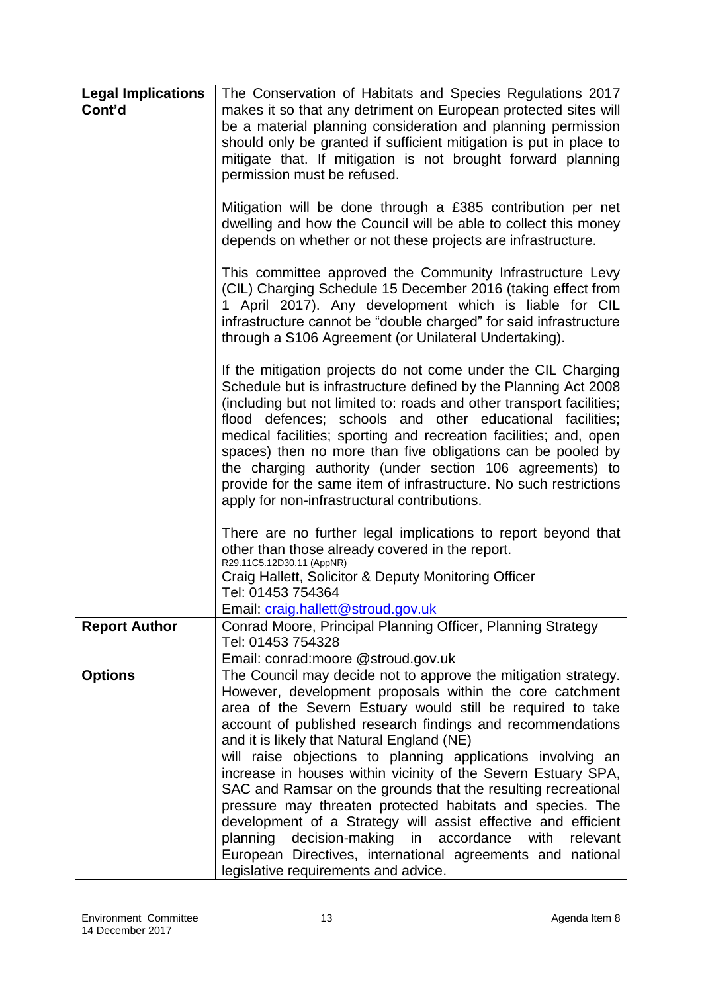| <b>Legal Implications</b><br>Cont'd | The Conservation of Habitats and Species Regulations 2017<br>makes it so that any detriment on European protected sites will<br>be a material planning consideration and planning permission<br>should only be granted if sufficient mitigation is put in place to<br>mitigate that. If mitigation is not brought forward planning<br>permission must be refused.<br>Mitigation will be done through a £385 contribution per net                                                                                                                                                                                                                                                                                                                             |
|-------------------------------------|--------------------------------------------------------------------------------------------------------------------------------------------------------------------------------------------------------------------------------------------------------------------------------------------------------------------------------------------------------------------------------------------------------------------------------------------------------------------------------------------------------------------------------------------------------------------------------------------------------------------------------------------------------------------------------------------------------------------------------------------------------------|
|                                     | dwelling and how the Council will be able to collect this money<br>depends on whether or not these projects are infrastructure.                                                                                                                                                                                                                                                                                                                                                                                                                                                                                                                                                                                                                              |
|                                     | This committee approved the Community Infrastructure Levy<br>(CIL) Charging Schedule 15 December 2016 (taking effect from<br>1 April 2017). Any development which is liable for CIL<br>infrastructure cannot be "double charged" for said infrastructure<br>through a S106 Agreement (or Unilateral Undertaking).                                                                                                                                                                                                                                                                                                                                                                                                                                            |
|                                     | If the mitigation projects do not come under the CIL Charging<br>Schedule but is infrastructure defined by the Planning Act 2008<br>(including but not limited to: roads and other transport facilities;<br>flood defences; schools and other educational facilities;<br>medical facilities; sporting and recreation facilities; and, open<br>spaces) then no more than five obligations can be pooled by<br>the charging authority (under section 106 agreements) to<br>provide for the same item of infrastructure. No such restrictions<br>apply for non-infrastructural contributions.                                                                                                                                                                   |
|                                     | There are no further legal implications to report beyond that<br>other than those already covered in the report.<br>R29.11C5.12D30.11 (AppNR)                                                                                                                                                                                                                                                                                                                                                                                                                                                                                                                                                                                                                |
|                                     | Craig Hallett, Solicitor & Deputy Monitoring Officer<br>Tel: 01453 754364<br>Email: craig.hallett@stroud.gov.uk                                                                                                                                                                                                                                                                                                                                                                                                                                                                                                                                                                                                                                              |
| <b>Report Author</b>                | Conrad Moore, Principal Planning Officer, Planning Strategy<br>Tel: 01453 754328<br>Email: conrad:moore @stroud.gov.uk                                                                                                                                                                                                                                                                                                                                                                                                                                                                                                                                                                                                                                       |
| <b>Options</b>                      | The Council may decide not to approve the mitigation strategy.<br>However, development proposals within the core catchment<br>area of the Severn Estuary would still be required to take<br>account of published research findings and recommendations<br>and it is likely that Natural England (NE)<br>will raise objections to planning applications involving an<br>increase in houses within vicinity of the Severn Estuary SPA,<br>SAC and Ramsar on the grounds that the resulting recreational<br>pressure may threaten protected habitats and species. The<br>development of a Strategy will assist effective and efficient<br>planning decision-making in accordance with<br>relevant<br>European Directives, international agreements and national |
|                                     | legislative requirements and advice.                                                                                                                                                                                                                                                                                                                                                                                                                                                                                                                                                                                                                                                                                                                         |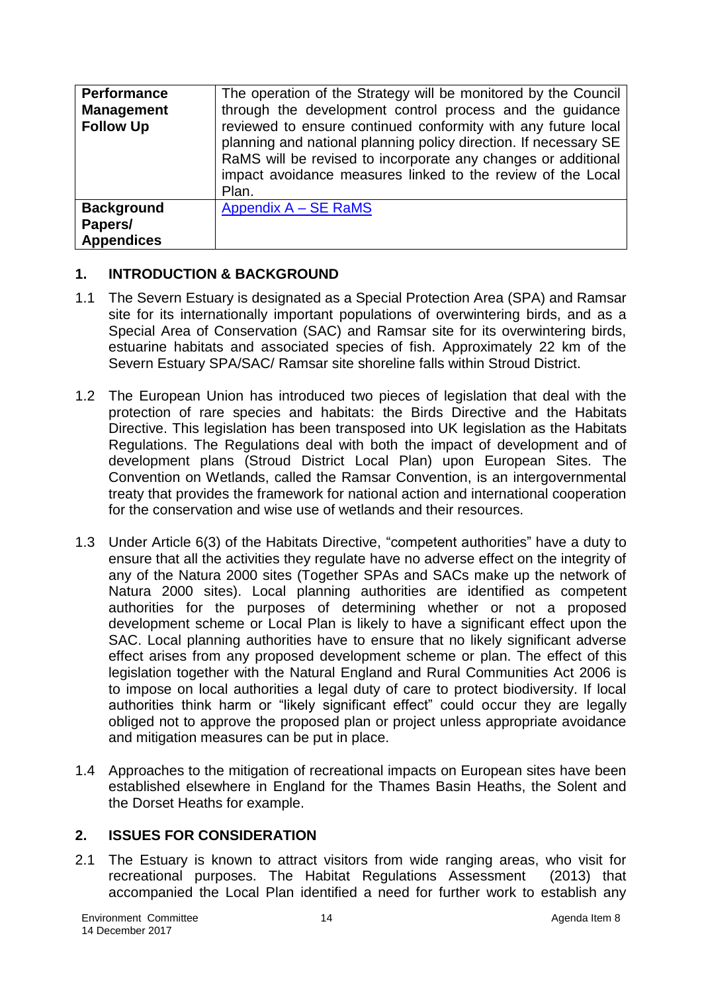| <b>Performance</b><br><b>Management</b><br><b>Follow Up</b> | The operation of the Strategy will be monitored by the Council<br>through the development control process and the guidance<br>reviewed to ensure continued conformity with any future local<br>planning and national planning policy direction. If necessary SE<br>RaMS will be revised to incorporate any changes or additional<br>impact avoidance measures linked to the review of the Local<br>Plan. |
|-------------------------------------------------------------|----------------------------------------------------------------------------------------------------------------------------------------------------------------------------------------------------------------------------------------------------------------------------------------------------------------------------------------------------------------------------------------------------------|
| <b>Background</b><br>Papers/<br><b>Appendices</b>           | Appendix A - SE RaMS                                                                                                                                                                                                                                                                                                                                                                                     |

#### **1. INTRODUCTION & BACKGROUND**

- 1.1 The Severn Estuary is designated as a Special Protection Area (SPA) and Ramsar site for its internationally important populations of overwintering birds, and as a Special Area of Conservation (SAC) and Ramsar site for its overwintering birds, estuarine habitats and associated species of fish. Approximately 22 km of the Severn Estuary SPA/SAC/ Ramsar site shoreline falls within Stroud District.
- 1.2 The European Union has introduced two pieces of legislation that deal with the protection of rare species and habitats: the Birds Directive and the Habitats Directive. This legislation has been transposed into UK legislation as the Habitats Regulations. The Regulations deal with both the impact of development and of development plans (Stroud District Local Plan) upon European Sites. The Convention on Wetlands, called the Ramsar Convention, is an intergovernmental treaty that provides the framework for national action and international cooperation for the conservation and wise use of wetlands and their resources.
- 1.3 Under Article 6(3) of the Habitats Directive, "competent authorities" have a duty to ensure that all the activities they regulate have no adverse effect on the integrity of any of the Natura 2000 sites (Together SPAs and SACs make up the network of Natura 2000 sites). Local planning authorities are identified as competent authorities for the purposes of determining whether or not a proposed development scheme or Local Plan is likely to have a significant effect upon the SAC. Local planning authorities have to ensure that no likely significant adverse effect arises from any proposed development scheme or plan. The effect of this legislation together with the Natural England and Rural Communities Act 2006 is to impose on local authorities a legal duty of care to protect biodiversity. If local authorities think harm or "likely significant effect" could occur they are legally obliged not to approve the proposed plan or project unless appropriate avoidance and mitigation measures can be put in place.
- 1.4 Approaches to the mitigation of recreational impacts on European sites have been established elsewhere in England for the Thames Basin Heaths, the Solent and the Dorset Heaths for example.

#### **2. ISSUES FOR CONSIDERATION**

2.1 The Estuary is known to attract visitors from wide ranging areas, who visit for recreational purposes. The Habitat Regulations Assessment (2013) that accompanied the Local Plan identified a need for further work to establish any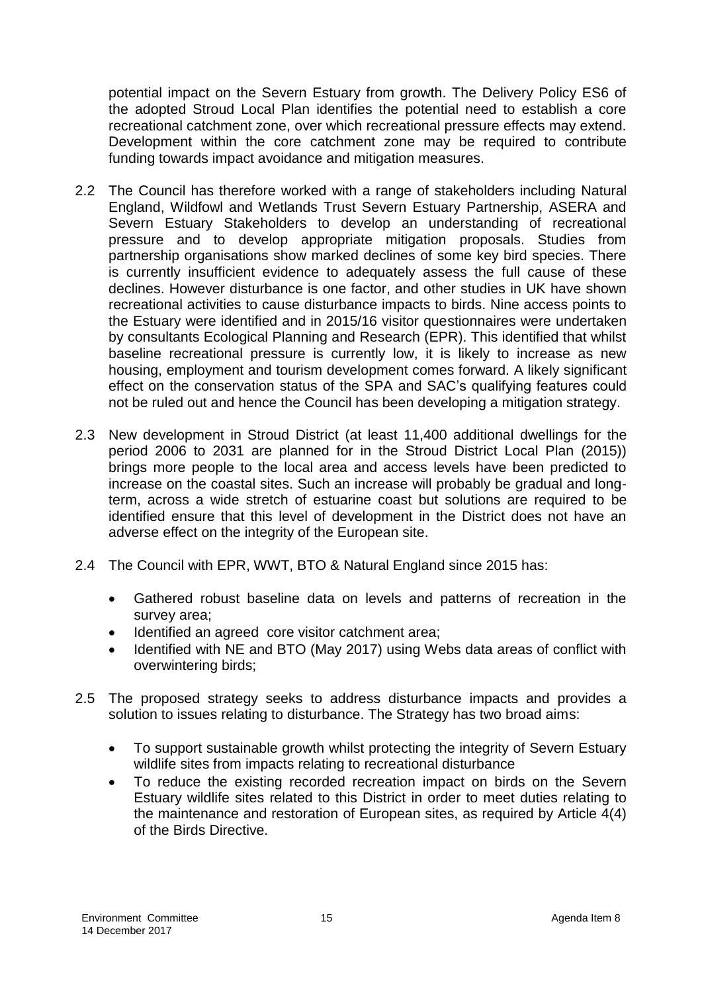potential impact on the Severn Estuary from growth. The Delivery Policy ES6 of the adopted Stroud Local Plan identifies the potential need to establish a core recreational catchment zone, over which recreational pressure effects may extend. Development within the core catchment zone may be required to contribute funding towards impact avoidance and mitigation measures.

- 2.2 The Council has therefore worked with a range of stakeholders including Natural England, Wildfowl and Wetlands Trust Severn Estuary Partnership, ASERA and Severn Estuary Stakeholders to develop an understanding of recreational pressure and to develop appropriate mitigation proposals. Studies from partnership organisations show marked declines of some key bird species. There is currently insufficient evidence to adequately assess the full cause of these declines. However disturbance is one factor, and other studies in UK have shown recreational activities to cause disturbance impacts to birds. Nine access points to the Estuary were identified and in 2015/16 visitor questionnaires were undertaken by consultants Ecological Planning and Research (EPR). This identified that whilst baseline recreational pressure is currently low, it is likely to increase as new housing, employment and tourism development comes forward. A likely significant effect on the conservation status of the SPA and SAC's qualifying features could not be ruled out and hence the Council has been developing a mitigation strategy.
- 2.3 New development in Stroud District (at least 11,400 additional dwellings for the period 2006 to 2031 are planned for in the Stroud District Local Plan (2015)) brings more people to the local area and access levels have been predicted to increase on the coastal sites. Such an increase will probably be gradual and longterm, across a wide stretch of estuarine coast but solutions are required to be identified ensure that this level of development in the District does not have an adverse effect on the integrity of the European site.
- 2.4 The Council with EPR, WWT, BTO & Natural England since 2015 has:
	- Gathered robust baseline data on levels and patterns of recreation in the survey area;
	- Identified an agreed core visitor catchment area;
	- Identified with NE and BTO (May 2017) using Webs data areas of conflict with overwintering birds;
- 2.5 The proposed strategy seeks to address disturbance impacts and provides a solution to issues relating to disturbance. The Strategy has two broad aims:
	- To support sustainable growth whilst protecting the integrity of Severn Estuary wildlife sites from impacts relating to recreational disturbance
	- To reduce the existing recorded recreation impact on birds on the Severn Estuary wildlife sites related to this District in order to meet duties relating to the maintenance and restoration of European sites, as required by Article 4(4) of the Birds Directive.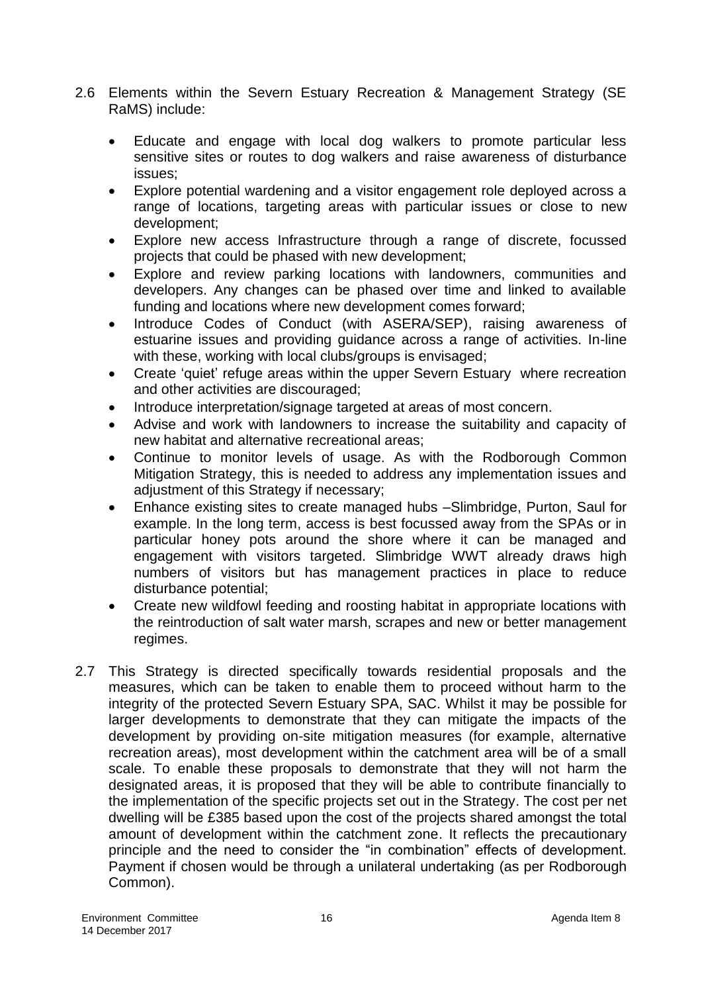- 2.6 Elements within the Severn Estuary Recreation & Management Strategy (SE RaMS) include:
	- Educate and engage with local dog walkers to promote particular less sensitive sites or routes to dog walkers and raise awareness of disturbance issues;
	- Explore potential wardening and a visitor engagement role deployed across a range of locations, targeting areas with particular issues or close to new development;
	- Explore new access Infrastructure through a range of discrete, focussed projects that could be phased with new development;
	- Explore and review parking locations with landowners, communities and developers. Any changes can be phased over time and linked to available funding and locations where new development comes forward;
	- Introduce Codes of Conduct (with ASERA/SEP), raising awareness of estuarine issues and providing guidance across a range of activities. In-line with these, working with local clubs/groups is envisaged:
	- Create 'quiet' refuge areas within the upper Severn Estuary where recreation and other activities are discouraged;
	- Introduce interpretation/signage targeted at areas of most concern.
	- Advise and work with landowners to increase the suitability and capacity of new habitat and alternative recreational areas;
	- Continue to monitor levels of usage. As with the Rodborough Common Mitigation Strategy, this is needed to address any implementation issues and adjustment of this Strategy if necessary;
	- Enhance existing sites to create managed hubs –Slimbridge, Purton, Saul for example. In the long term, access is best focussed away from the SPAs or in particular honey pots around the shore where it can be managed and engagement with visitors targeted. Slimbridge WWT already draws high numbers of visitors but has management practices in place to reduce disturbance potential;
	- Create new wildfowl feeding and roosting habitat in appropriate locations with the reintroduction of salt water marsh, scrapes and new or better management regimes.
- 2.7 This Strategy is directed specifically towards residential proposals and the measures, which can be taken to enable them to proceed without harm to the integrity of the protected Severn Estuary SPA, SAC. Whilst it may be possible for larger developments to demonstrate that they can mitigate the impacts of the development by providing on-site mitigation measures (for example, alternative recreation areas), most development within the catchment area will be of a small scale. To enable these proposals to demonstrate that they will not harm the designated areas, it is proposed that they will be able to contribute financially to the implementation of the specific projects set out in the Strategy. The cost per net dwelling will be £385 based upon the cost of the projects shared amongst the total amount of development within the catchment zone. It reflects the precautionary principle and the need to consider the "in combination" effects of development. Payment if chosen would be through a unilateral undertaking (as per Rodborough Common).